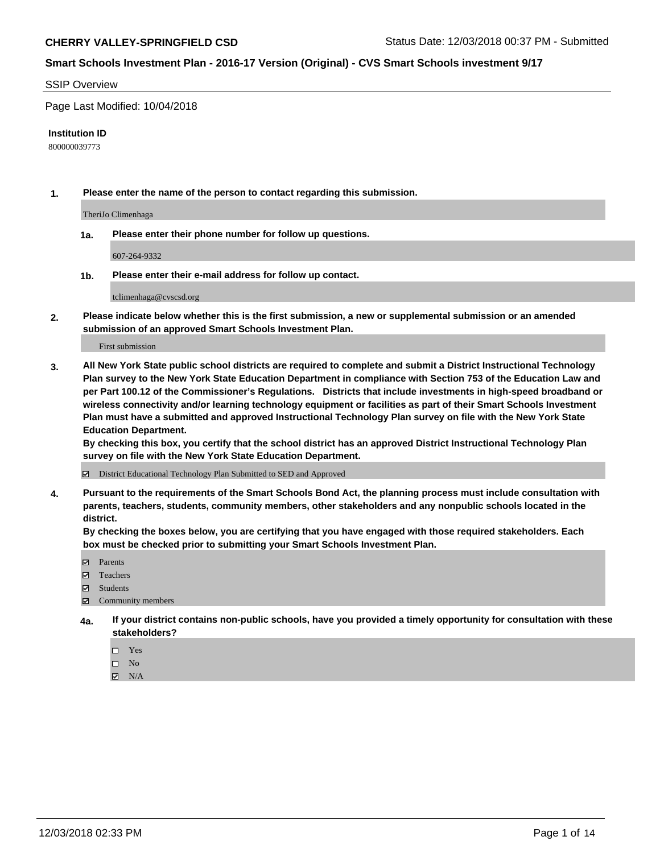#### SSIP Overview

Page Last Modified: 10/04/2018

#### **Institution ID**

800000039773

**1. Please enter the name of the person to contact regarding this submission.**

TheriJo Climenhaga

**1a. Please enter their phone number for follow up questions.**

607-264-9332

**1b. Please enter their e-mail address for follow up contact.**

tclimenhaga@cvscsd.org

**2. Please indicate below whether this is the first submission, a new or supplemental submission or an amended submission of an approved Smart Schools Investment Plan.**

First submission

**3. All New York State public school districts are required to complete and submit a District Instructional Technology Plan survey to the New York State Education Department in compliance with Section 753 of the Education Law and per Part 100.12 of the Commissioner's Regulations. Districts that include investments in high-speed broadband or wireless connectivity and/or learning technology equipment or facilities as part of their Smart Schools Investment Plan must have a submitted and approved Instructional Technology Plan survey on file with the New York State Education Department.** 

**By checking this box, you certify that the school district has an approved District Instructional Technology Plan survey on file with the New York State Education Department.**

District Educational Technology Plan Submitted to SED and Approved

**4. Pursuant to the requirements of the Smart Schools Bond Act, the planning process must include consultation with parents, teachers, students, community members, other stakeholders and any nonpublic schools located in the district.** 

**By checking the boxes below, you are certifying that you have engaged with those required stakeholders. Each box must be checked prior to submitting your Smart Schools Investment Plan.**

- **□** Parents
- Teachers
- Students
- $\boxtimes$  Community members
- **4a. If your district contains non-public schools, have you provided a timely opportunity for consultation with these stakeholders?**
	- $\Box$  Yes
	- $\qquad \qquad$  No
	- $\blacksquare$  N/A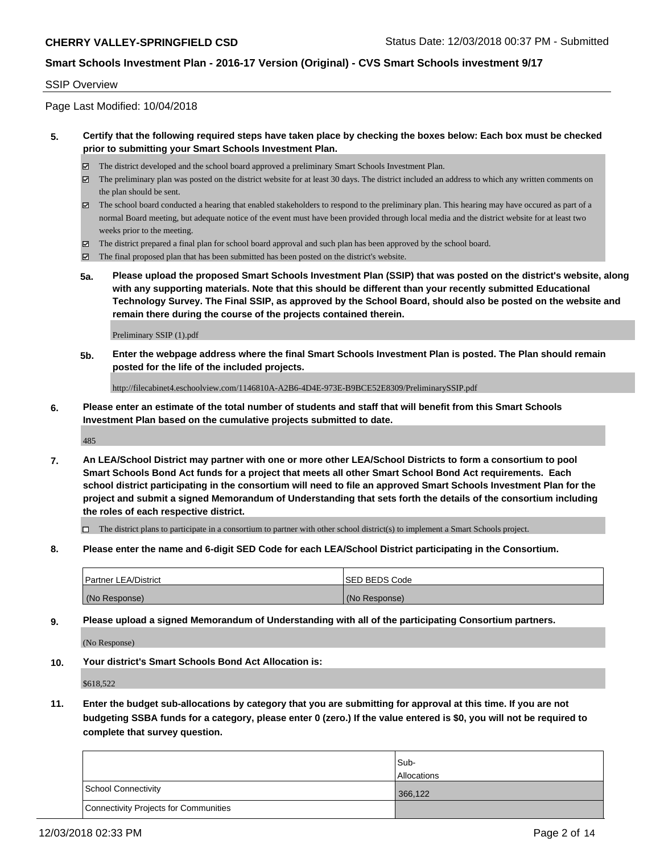#### SSIP Overview

Page Last Modified: 10/04/2018

#### **5. Certify that the following required steps have taken place by checking the boxes below: Each box must be checked prior to submitting your Smart Schools Investment Plan.**

- The district developed and the school board approved a preliminary Smart Schools Investment Plan.
- $\boxtimes$  The preliminary plan was posted on the district website for at least 30 days. The district included an address to which any written comments on the plan should be sent.
- $\boxtimes$  The school board conducted a hearing that enabled stakeholders to respond to the preliminary plan. This hearing may have occured as part of a normal Board meeting, but adequate notice of the event must have been provided through local media and the district website for at least two weeks prior to the meeting.
- The district prepared a final plan for school board approval and such plan has been approved by the school board.
- $\boxtimes$  The final proposed plan that has been submitted has been posted on the district's website.
- **5a. Please upload the proposed Smart Schools Investment Plan (SSIP) that was posted on the district's website, along with any supporting materials. Note that this should be different than your recently submitted Educational Technology Survey. The Final SSIP, as approved by the School Board, should also be posted on the website and remain there during the course of the projects contained therein.**

Preliminary SSIP (1).pdf

**5b. Enter the webpage address where the final Smart Schools Investment Plan is posted. The Plan should remain posted for the life of the included projects.**

http://filecabinet4.eschoolview.com/1146810A-A2B6-4D4E-973E-B9BCE52E8309/PreliminarySSIP.pdf

**6. Please enter an estimate of the total number of students and staff that will benefit from this Smart Schools Investment Plan based on the cumulative projects submitted to date.**

485

**7. An LEA/School District may partner with one or more other LEA/School Districts to form a consortium to pool Smart Schools Bond Act funds for a project that meets all other Smart School Bond Act requirements. Each school district participating in the consortium will need to file an approved Smart Schools Investment Plan for the project and submit a signed Memorandum of Understanding that sets forth the details of the consortium including the roles of each respective district.**

 $\Box$  The district plans to participate in a consortium to partner with other school district(s) to implement a Smart Schools project.

**8. Please enter the name and 6-digit SED Code for each LEA/School District participating in the Consortium.**

| <b>Partner LEA/District</b> | <b>ISED BEDS Code</b> |
|-----------------------------|-----------------------|
| (No Response)               | (No Response)         |

**9. Please upload a signed Memorandum of Understanding with all of the participating Consortium partners.**

(No Response)

**10. Your district's Smart Schools Bond Act Allocation is:**

\$618,522

**11. Enter the budget sub-allocations by category that you are submitting for approval at this time. If you are not budgeting SSBA funds for a category, please enter 0 (zero.) If the value entered is \$0, you will not be required to complete that survey question.**

|                                              | Sub-<br><b>Allocations</b> |
|----------------------------------------------|----------------------------|
| <b>School Connectivity</b>                   | 366,122                    |
| <b>Connectivity Projects for Communities</b> |                            |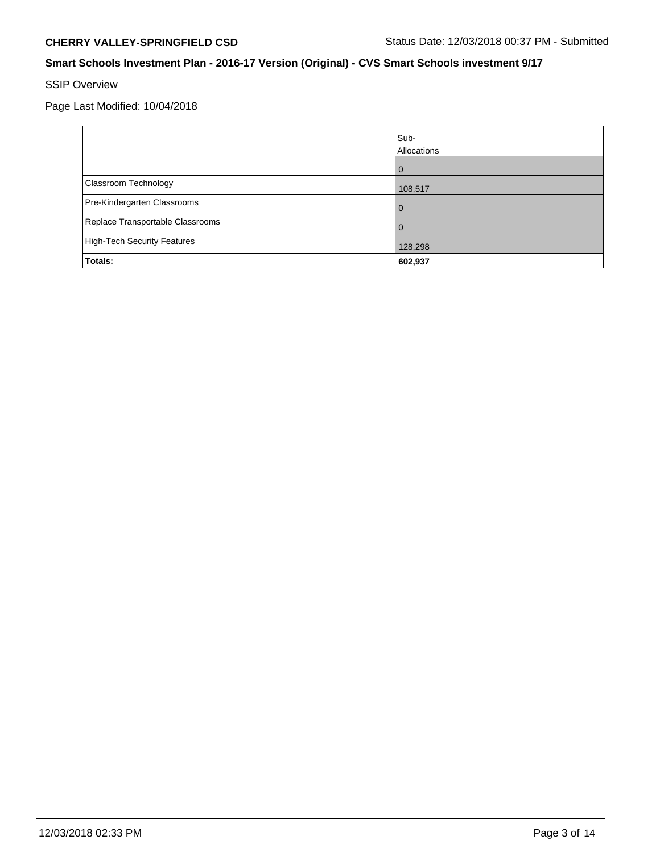# SSIP Overview

Page Last Modified: 10/04/2018

|                                    | Sub-<br>Allocations |
|------------------------------------|---------------------|
|                                    | 0                   |
| Classroom Technology               | 108,517             |
| Pre-Kindergarten Classrooms        | $\Omega$            |
| Replace Transportable Classrooms   | 0                   |
| <b>High-Tech Security Features</b> | 128,298             |
| Totals:                            | 602,937             |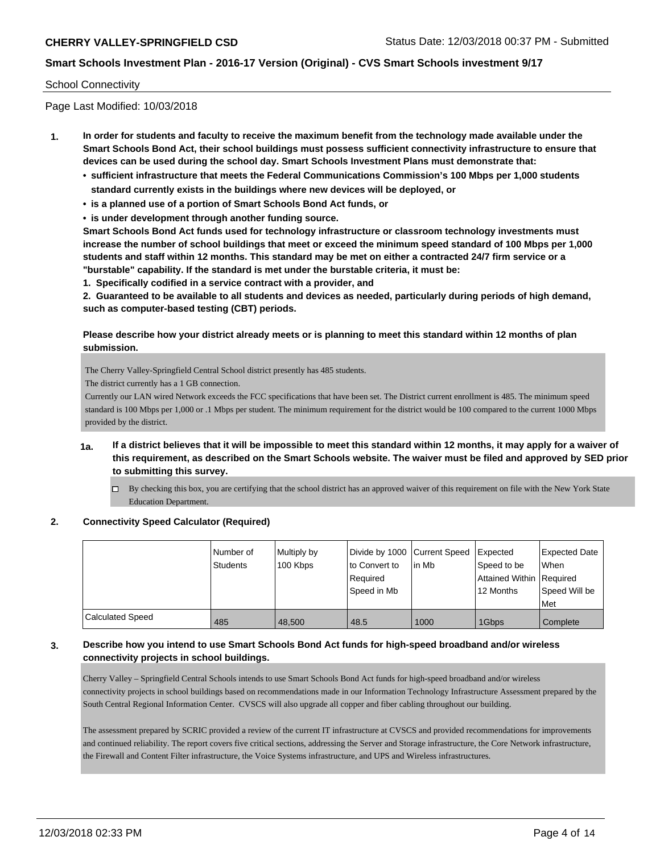#### School Connectivity

Page Last Modified: 10/03/2018

- **1. In order for students and faculty to receive the maximum benefit from the technology made available under the Smart Schools Bond Act, their school buildings must possess sufficient connectivity infrastructure to ensure that devices can be used during the school day. Smart Schools Investment Plans must demonstrate that:**
	- **• sufficient infrastructure that meets the Federal Communications Commission's 100 Mbps per 1,000 students standard currently exists in the buildings where new devices will be deployed, or**
	- **• is a planned use of a portion of Smart Schools Bond Act funds, or**
	- **• is under development through another funding source.**

**Smart Schools Bond Act funds used for technology infrastructure or classroom technology investments must increase the number of school buildings that meet or exceed the minimum speed standard of 100 Mbps per 1,000 students and staff within 12 months. This standard may be met on either a contracted 24/7 firm service or a "burstable" capability. If the standard is met under the burstable criteria, it must be:**

**1. Specifically codified in a service contract with a provider, and**

**2. Guaranteed to be available to all students and devices as needed, particularly during periods of high demand, such as computer-based testing (CBT) periods.**

#### **Please describe how your district already meets or is planning to meet this standard within 12 months of plan submission.**

The Cherry Valley-Springfield Central School district presently has 485 students.

The district currently has a 1 GB connection.

Currently our LAN wired Network exceeds the FCC specifications that have been set. The District current enrollment is 485. The minimum speed standard is 100 Mbps per 1,000 or .1 Mbps per student. The minimum requirement for the district would be 100 compared to the current 1000 Mbps provided by the district.

### **1a. If a district believes that it will be impossible to meet this standard within 12 months, it may apply for a waiver of this requirement, as described on the Smart Schools website. The waiver must be filed and approved by SED prior to submitting this survey.**

 $\Box$  By checking this box, you are certifying that the school district has an approved waiver of this requirement on file with the New York State Education Department.

#### **2. Connectivity Speed Calculator (Required)**

|                  | Number of<br>Students | Multiply by<br>100 Kbps | Divide by 1000 Current Speed<br>to Convert to<br>Reauired<br>Speed in Mb | in Mb | <b>Expected</b><br>Speed to be<br>Attained Within   Required<br>12 Months | <b>Expected Date</b><br><b>When</b><br>Speed Will be<br>Met |
|------------------|-----------------------|-------------------------|--------------------------------------------------------------------------|-------|---------------------------------------------------------------------------|-------------------------------------------------------------|
| Calculated Speed | 485                   | 48.500                  | 48.5                                                                     | 1000  | 1Gbps                                                                     | Complete                                                    |

#### **3. Describe how you intend to use Smart Schools Bond Act funds for high-speed broadband and/or wireless connectivity projects in school buildings.**

Cherry Valley – Springfield Central Schools intends to use Smart Schools Bond Act funds for high-speed broadband and/or wireless connectivity projects in school buildings based on recommendations made in our Information Technology Infrastructure Assessment prepared by the South Central Regional Information Center. CVSCS will also upgrade all copper and fiber cabling throughout our building.

The assessment prepared by SCRIC provided a review of the current IT infrastructure at CVSCS and provided recommendations for improvements and continued reliability. The report covers five critical sections, addressing the Server and Storage infrastructure, the Core Network infrastructure, the Firewall and Content Filter infrastructure, the Voice Systems infrastructure, and UPS and Wireless infrastructures.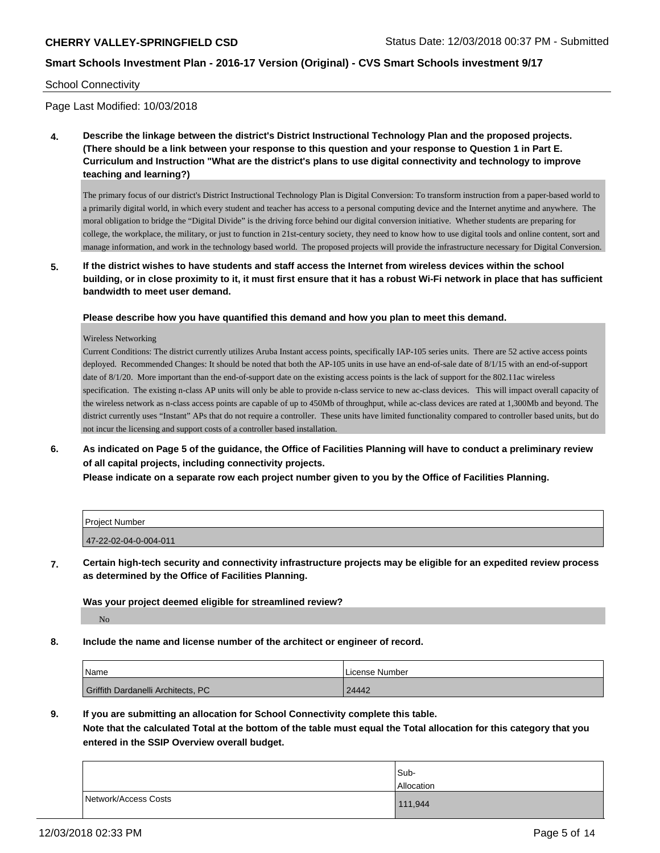#### School Connectivity

Page Last Modified: 10/03/2018

**4. Describe the linkage between the district's District Instructional Technology Plan and the proposed projects. (There should be a link between your response to this question and your response to Question 1 in Part E. Curriculum and Instruction "What are the district's plans to use digital connectivity and technology to improve teaching and learning?)**

The primary focus of our district's District Instructional Technology Plan is Digital Conversion: To transform instruction from a paper-based world to a primarily digital world, in which every student and teacher has access to a personal computing device and the Internet anytime and anywhere. The moral obligation to bridge the "Digital Divide" is the driving force behind our digital conversion initiative. Whether students are preparing for college, the workplace, the military, or just to function in 21st-century society, they need to know how to use digital tools and online content, sort and manage information, and work in the technology based world. The proposed projects will provide the infrastructure necessary for Digital Conversion.

**5. If the district wishes to have students and staff access the Internet from wireless devices within the school building, or in close proximity to it, it must first ensure that it has a robust Wi-Fi network in place that has sufficient bandwidth to meet user demand.**

**Please describe how you have quantified this demand and how you plan to meet this demand.**

Wireless Networking

Current Conditions: The district currently utilizes Aruba Instant access points, specifically IAP-105 series units. There are 52 active access points deployed. Recommended Changes: It should be noted that both the AP-105 units in use have an end-of-sale date of 8/1/15 with an end-of-support date of 8/1/20. More important than the end-of-support date on the existing access points is the lack of support for the 802.11ac wireless specification. The existing n-class AP units will only be able to provide n-class service to new ac-class devices. This will impact overall capacity of the wireless network as n-class access points are capable of up to 450Mb of throughput, while ac-class devices are rated at 1,300Mb and beyond. The district currently uses "Instant" APs that do not require a controller. These units have limited functionality compared to controller based units, but do not incur the licensing and support costs of a controller based installation.

**6. As indicated on Page 5 of the guidance, the Office of Facilities Planning will have to conduct a preliminary review of all capital projects, including connectivity projects.**

**Please indicate on a separate row each project number given to you by the Office of Facilities Planning.**

| <b>Project Number</b> |  |
|-----------------------|--|
| 47-22-02-04-0-004-011 |  |
|                       |  |

**7. Certain high-tech security and connectivity infrastructure projects may be eligible for an expedited review process as determined by the Office of Facilities Planning.**

**Was your project deemed eligible for streamlined review?**

No

**8. Include the name and license number of the architect or engineer of record.**

| Name                               | License Number |
|------------------------------------|----------------|
| Griffith Dardanelli Architects, PC | 24442          |

**9. If you are submitting an allocation for School Connectivity complete this table.**

**Note that the calculated Total at the bottom of the table must equal the Total allocation for this category that you entered in the SSIP Overview overall budget.** 

|                      | Sub-       |
|----------------------|------------|
|                      | Allocation |
| Network/Access Costs | 111,944    |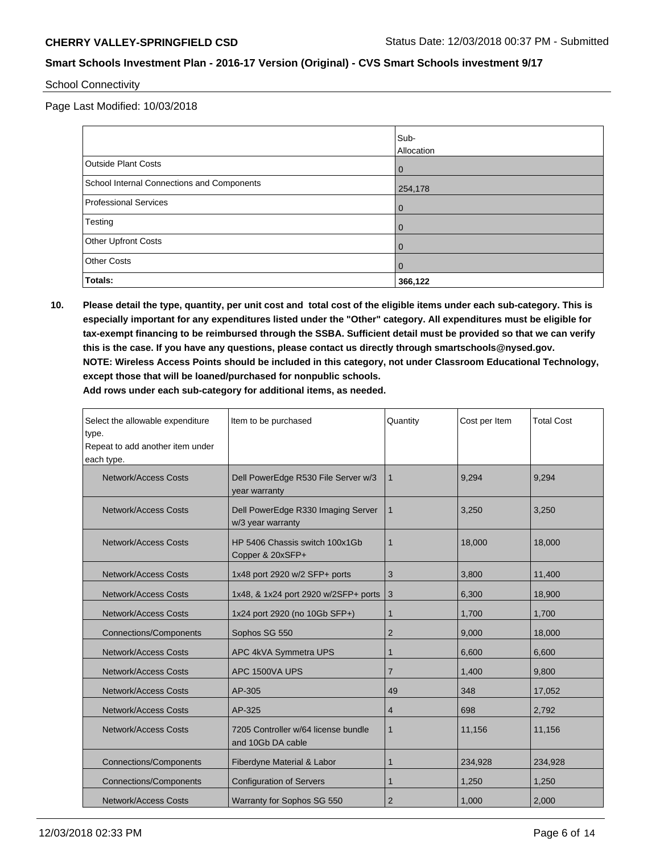School Connectivity

Page Last Modified: 10/03/2018

|                                            | Sub-       |
|--------------------------------------------|------------|
|                                            | Allocation |
| <b>Outside Plant Costs</b>                 | 0          |
| School Internal Connections and Components | 254,178    |
| <b>Professional Services</b>               | 0          |
| Testing                                    | u          |
| Other Upfront Costs                        | 0          |
| <b>Other Costs</b>                         | 0          |
| Totals:                                    | 366,122    |

**10. Please detail the type, quantity, per unit cost and total cost of the eligible items under each sub-category. This is especially important for any expenditures listed under the "Other" category. All expenditures must be eligible for tax-exempt financing to be reimbursed through the SSBA. Sufficient detail must be provided so that we can verify this is the case. If you have any questions, please contact us directly through smartschools@nysed.gov. NOTE: Wireless Access Points should be included in this category, not under Classroom Educational Technology, except those that will be loaned/purchased for nonpublic schools. Add rows under each sub-category for additional items, as needed.**

| Select the allowable expenditure<br>type.<br>Repeat to add another item under<br>each type. | Item to be purchased                                     | Quantity       | Cost per Item | <b>Total Cost</b> |
|---------------------------------------------------------------------------------------------|----------------------------------------------------------|----------------|---------------|-------------------|
| Network/Access Costs                                                                        | Dell PowerEdge R530 File Server w/3<br>year warranty     | $\mathbf{1}$   | 9,294         | 9,294             |
| Network/Access Costs                                                                        | Dell PowerEdge R330 Imaging Server<br>w/3 year warranty  | 1              | 3,250         | 3,250             |
| Network/Access Costs                                                                        | HP 5406 Chassis switch 100x1Gb<br>Copper & 20xSFP+       | $\mathbf 1$    | 18,000        | 18.000            |
| Network/Access Costs                                                                        | 1x48 port 2920 w/2 SFP+ ports                            | 3              | 3,800         | 11,400            |
| Network/Access Costs                                                                        | 1x48, & 1x24 port 2920 w/2SFP+ ports                     | 3              | 6,300         | 18,900            |
| Network/Access Costs                                                                        | 1x24 port 2920 (no 10Gb SFP+)                            | 1              | 1,700         | 1,700             |
| <b>Connections/Components</b>                                                               | Sophos SG 550                                            | $\overline{2}$ | 9,000         | 18,000            |
| Network/Access Costs                                                                        | APC 4kVA Symmetra UPS                                    | 1              | 6,600         | 6,600             |
| Network/Access Costs                                                                        | APC 1500VA UPS                                           | $\overline{7}$ | 1,400         | 9,800             |
| Network/Access Costs                                                                        | AP-305                                                   | 49             | 348           | 17,052            |
| Network/Access Costs                                                                        | AP-325                                                   | 4              | 698           | 2,792             |
| Network/Access Costs                                                                        | 7205 Controller w/64 license bundle<br>and 10Gb DA cable | $\mathbf{1}$   | 11,156        | 11,156            |
| <b>Connections/Components</b>                                                               | Fiberdyne Material & Labor                               | $\mathbf 1$    | 234,928       | 234,928           |
| <b>Connections/Components</b>                                                               | <b>Configuration of Servers</b>                          | $\mathbf 1$    | 1,250         | 1,250             |
| Network/Access Costs                                                                        | Warranty for Sophos SG 550                               | $\overline{2}$ | 1,000         | 2,000             |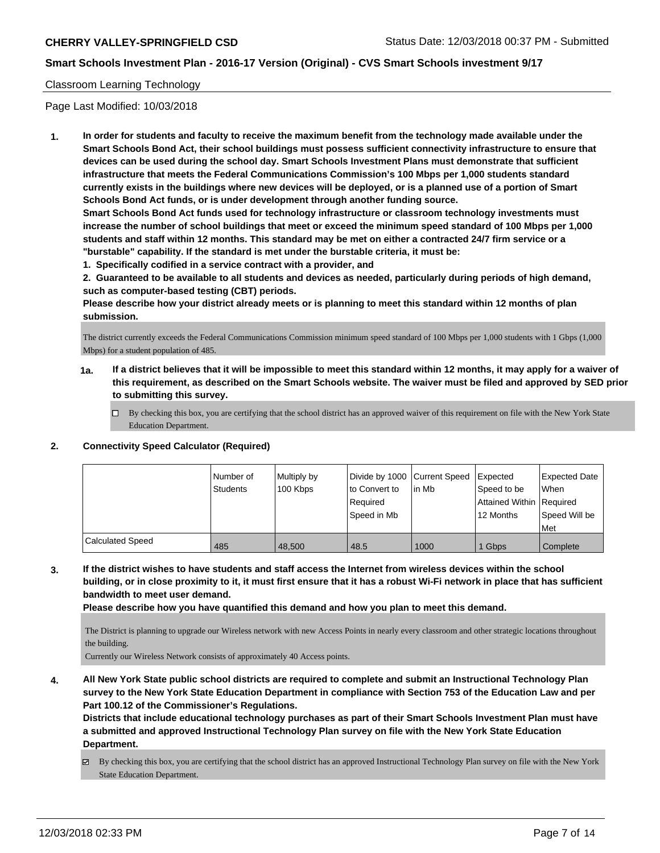### Classroom Learning Technology

Page Last Modified: 10/03/2018

**1. In order for students and faculty to receive the maximum benefit from the technology made available under the Smart Schools Bond Act, their school buildings must possess sufficient connectivity infrastructure to ensure that devices can be used during the school day. Smart Schools Investment Plans must demonstrate that sufficient infrastructure that meets the Federal Communications Commission's 100 Mbps per 1,000 students standard currently exists in the buildings where new devices will be deployed, or is a planned use of a portion of Smart Schools Bond Act funds, or is under development through another funding source.**

**Smart Schools Bond Act funds used for technology infrastructure or classroom technology investments must increase the number of school buildings that meet or exceed the minimum speed standard of 100 Mbps per 1,000 students and staff within 12 months. This standard may be met on either a contracted 24/7 firm service or a "burstable" capability. If the standard is met under the burstable criteria, it must be:**

**1. Specifically codified in a service contract with a provider, and**

**2. Guaranteed to be available to all students and devices as needed, particularly during periods of high demand, such as computer-based testing (CBT) periods.**

**Please describe how your district already meets or is planning to meet this standard within 12 months of plan submission.**

The district currently exceeds the Federal Communications Commission minimum speed standard of 100 Mbps per 1,000 students with 1 Gbps (1,000 Mbps) for a student population of 485.

- **1a. If a district believes that it will be impossible to meet this standard within 12 months, it may apply for a waiver of this requirement, as described on the Smart Schools website. The waiver must be filed and approved by SED prior to submitting this survey.**
	- By checking this box, you are certifying that the school district has an approved waiver of this requirement on file with the New York State Education Department.

#### **2. Connectivity Speed Calculator (Required)**

|                         | Number of<br><b>Students</b> | Multiply by<br>100 Kbps | Divide by 1000 Current Speed<br>to Convert to<br>l Reauired<br>Speed in Mb | lin Mb | Expected<br>Speed to be<br>Attained Within   Required<br>12 Months | Expected Date<br>When<br>Speed Will be<br>Met |
|-------------------------|------------------------------|-------------------------|----------------------------------------------------------------------------|--------|--------------------------------------------------------------------|-----------------------------------------------|
| <b>Calculated Speed</b> | 485                          | 48.500                  | 48.5                                                                       | 1000   | Gbps                                                               | Complete                                      |

**3. If the district wishes to have students and staff access the Internet from wireless devices within the school building, or in close proximity to it, it must first ensure that it has a robust Wi-Fi network in place that has sufficient bandwidth to meet user demand.**

**Please describe how you have quantified this demand and how you plan to meet this demand.**

The District is planning to upgrade our Wireless network with new Access Points in nearly every classroom and other strategic locations throughout the building.

Currently our Wireless Network consists of approximately 40 Access points.

**4. All New York State public school districts are required to complete and submit an Instructional Technology Plan survey to the New York State Education Department in compliance with Section 753 of the Education Law and per Part 100.12 of the Commissioner's Regulations.**

**Districts that include educational technology purchases as part of their Smart Schools Investment Plan must have a submitted and approved Instructional Technology Plan survey on file with the New York State Education Department.**

 $\boxtimes$  By checking this box, you are certifying that the school district has an approved Instructional Technology Plan survey on file with the New York State Education Department.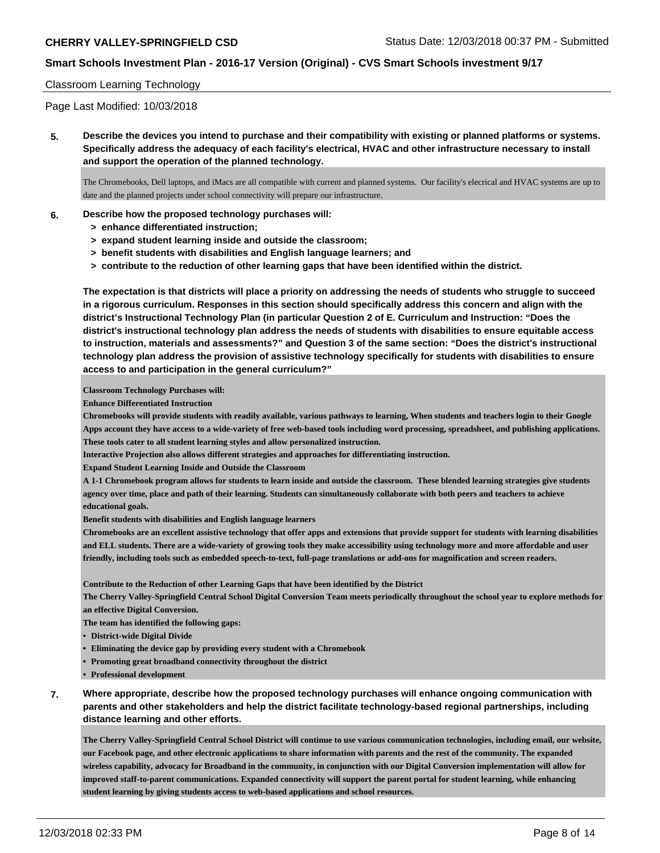### Classroom Learning Technology

Page Last Modified: 10/03/2018

**5. Describe the devices you intend to purchase and their compatibility with existing or planned platforms or systems. Specifically address the adequacy of each facility's electrical, HVAC and other infrastructure necessary to install and support the operation of the planned technology.**

The Chromebooks, Dell laptops, and iMacs are all compatible with current and planned systems. Our facility's elecrical and HVAC systems are up to date and the planned projects under school connectivity will prepare our infrastructure.

#### **6. Describe how the proposed technology purchases will:**

- **> enhance differentiated instruction;**
- **> expand student learning inside and outside the classroom;**
- **> benefit students with disabilities and English language learners; and**
- **> contribute to the reduction of other learning gaps that have been identified within the district.**

**The expectation is that districts will place a priority on addressing the needs of students who struggle to succeed in a rigorous curriculum. Responses in this section should specifically address this concern and align with the district's Instructional Technology Plan (in particular Question 2 of E. Curriculum and Instruction: "Does the district's instructional technology plan address the needs of students with disabilities to ensure equitable access to instruction, materials and assessments?" and Question 3 of the same section: "Does the district's instructional technology plan address the provision of assistive technology specifically for students with disabilities to ensure access to and participation in the general curriculum?"**

**Classroom Technology Purchases will:**

**Enhance Differentiated Instruction**

**Chromebooks will provide students with readily available, various pathways to learning, When students and teachers login to their Google Apps account they have access to a wide-variety of free web-based tools including word processing, spreadsheet, and publishing applications. These tools cater to all student learning styles and allow personalized instruction.**

**Interactive Projection also allows different strategies and approaches for differentiating instruction.**

**Expand Student Learning Inside and Outside the Classroom**

**A 1-1 Chromebook program allows for students to learn inside and outside the classroom. These blended learning strategies give students agency over time, place and path of their learning. Students can simultaneously collaborate with both peers and teachers to achieve educational goals.**

**Benefit students with disabilities and English language learners**

**Chromebooks are an excellent assistive technology that offer apps and extensions that provide support for students with learning disabilities and ELL students. There are a wide-variety of growing tools they make accessibility using technology more and more affordable and user friendly, including tools such as embedded speech-to-text, full-page translations or add-ons for magnification and screen readers.**

**Contribute to the Reduction of other Learning Gaps that have been identified by the District**

**The Cherry Valley-Springfield Central School Digital Conversion Team meets periodically throughout the school year to explore methods for an effective Digital Conversion.**

**The team has identified the following gaps:**

- **• District-wide Digital Divide**
- **• Eliminating the device gap by providing every student with a Chromebook**
- **• Promoting great broadband connectivity throughout the district**
- **• Professional development**
- **7. Where appropriate, describe how the proposed technology purchases will enhance ongoing communication with parents and other stakeholders and help the district facilitate technology-based regional partnerships, including distance learning and other efforts.**

**The Cherry Valley-Springfield Central School District will continue to use various communication technologies, including email, our website, our Facebook page, and other electronic applications to share information with parents and the rest of the community. The expanded wireless capability, advocacy for Broadband in the community, in conjunction with our Digital Conversion implementation will allow for improved staff-to-parent communications. Expanded connectivity will support the parent portal for student learning, while enhancing student learning by giving students access to web-based applications and school resources.**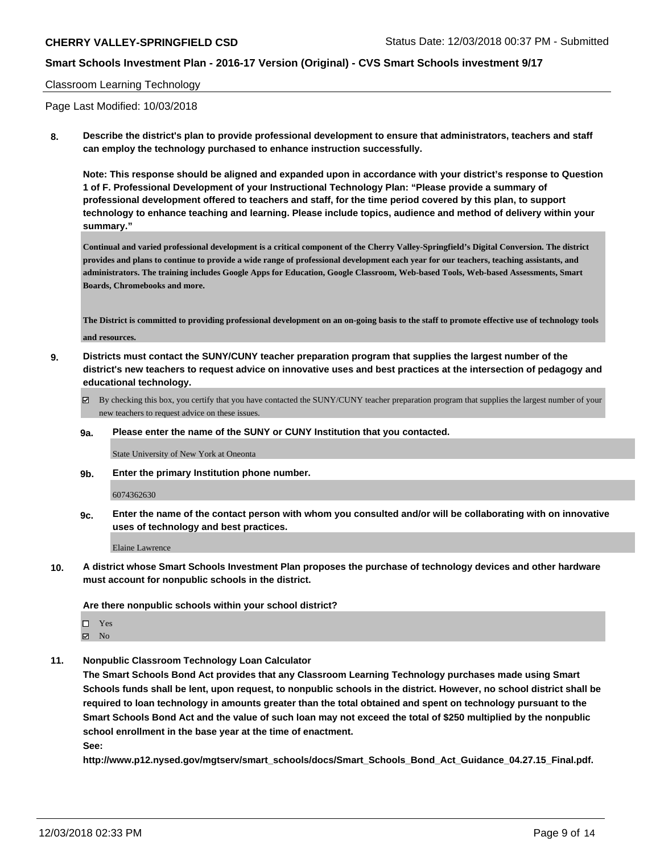### Classroom Learning Technology

Page Last Modified: 10/03/2018

**8. Describe the district's plan to provide professional development to ensure that administrators, teachers and staff can employ the technology purchased to enhance instruction successfully.**

**Note: This response should be aligned and expanded upon in accordance with your district's response to Question 1 of F. Professional Development of your Instructional Technology Plan: "Please provide a summary of professional development offered to teachers and staff, for the time period covered by this plan, to support technology to enhance teaching and learning. Please include topics, audience and method of delivery within your summary."**

**Continual and varied professional development is a critical component of the Cherry Valley-Springfield's Digital Conversion. The district provides and plans to continue to provide a wide range of professional development each year for our teachers, teaching assistants, and administrators. The training includes Google Apps for Education, Google Classroom, Web-based Tools, Web-based Assessments, Smart Boards, Chromebooks and more.**

**The District is committed to providing professional development on an on-going basis to the staff to promote effective use of technology tools and resources.**

- **9. Districts must contact the SUNY/CUNY teacher preparation program that supplies the largest number of the district's new teachers to request advice on innovative uses and best practices at the intersection of pedagogy and educational technology.**
	- By checking this box, you certify that you have contacted the SUNY/CUNY teacher preparation program that supplies the largest number of your new teachers to request advice on these issues.
	- **9a. Please enter the name of the SUNY or CUNY Institution that you contacted.**

State University of New York at Oneonta

**9b. Enter the primary Institution phone number.**

6074362630

**9c. Enter the name of the contact person with whom you consulted and/or will be collaborating with on innovative uses of technology and best practices.**

Elaine Lawrence

**10. A district whose Smart Schools Investment Plan proposes the purchase of technology devices and other hardware must account for nonpublic schools in the district.**

**Are there nonpublic schools within your school district?**

- Yes
- $\boxtimes$  No
- **11. Nonpublic Classroom Technology Loan Calculator**

**The Smart Schools Bond Act provides that any Classroom Learning Technology purchases made using Smart Schools funds shall be lent, upon request, to nonpublic schools in the district. However, no school district shall be required to loan technology in amounts greater than the total obtained and spent on technology pursuant to the Smart Schools Bond Act and the value of such loan may not exceed the total of \$250 multiplied by the nonpublic school enrollment in the base year at the time of enactment. See:**

**http://www.p12.nysed.gov/mgtserv/smart\_schools/docs/Smart\_Schools\_Bond\_Act\_Guidance\_04.27.15\_Final.pdf.**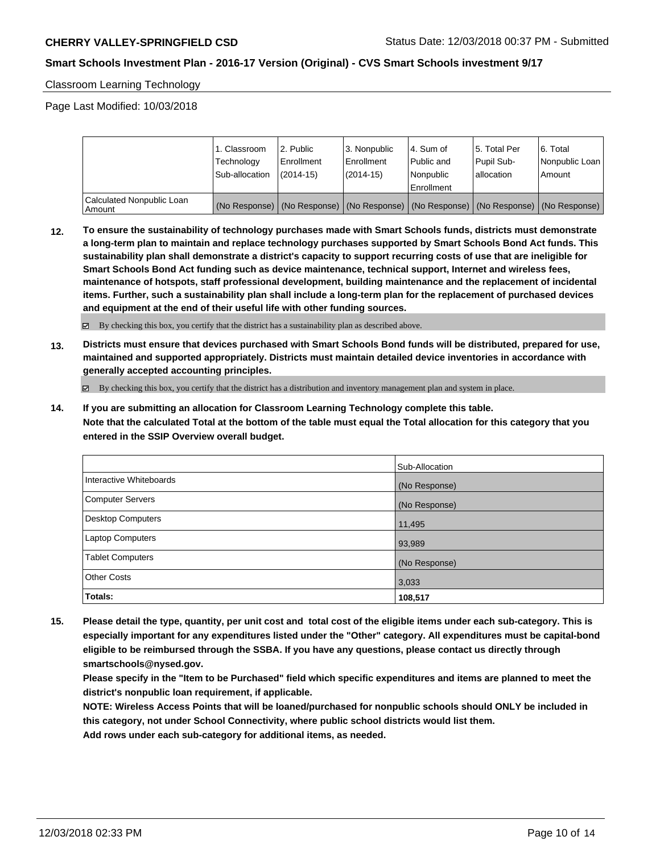Classroom Learning Technology

Page Last Modified: 10/03/2018

|                                       | 1. Classroom<br>Technology<br>Sub-allocation | l 2. Public<br>l Enrollment<br>$(2014-15)$ | l 3. Nonpublic<br>Enrollment<br>$(2014-15)$ | l 4. Sum of<br>Public and<br>l Nonpublic<br>Enrollment                                        | 15. Total Per<br>Pupil Sub-<br>lallocation | l 6. Total<br>Nonpublic Loan<br>l Amount |
|---------------------------------------|----------------------------------------------|--------------------------------------------|---------------------------------------------|-----------------------------------------------------------------------------------------------|--------------------------------------------|------------------------------------------|
| Calculated Nonpublic Loan<br>l Amount |                                              |                                            |                                             | (No Response)   (No Response)   (No Response)   (No Response)   (No Response)   (No Response) |                                            |                                          |

**12. To ensure the sustainability of technology purchases made with Smart Schools funds, districts must demonstrate a long-term plan to maintain and replace technology purchases supported by Smart Schools Bond Act funds. This sustainability plan shall demonstrate a district's capacity to support recurring costs of use that are ineligible for Smart Schools Bond Act funding such as device maintenance, technical support, Internet and wireless fees, maintenance of hotspots, staff professional development, building maintenance and the replacement of incidental items. Further, such a sustainability plan shall include a long-term plan for the replacement of purchased devices and equipment at the end of their useful life with other funding sources.**

By checking this box, you certify that the district has a sustainability plan as described above.

**13. Districts must ensure that devices purchased with Smart Schools Bond funds will be distributed, prepared for use, maintained and supported appropriately. Districts must maintain detailed device inventories in accordance with generally accepted accounting principles.**

By checking this box, you certify that the district has a distribution and inventory management plan and system in place.

**14. If you are submitting an allocation for Classroom Learning Technology complete this table. Note that the calculated Total at the bottom of the table must equal the Total allocation for this category that you entered in the SSIP Overview overall budget.**

|                          | Sub-Allocation |
|--------------------------|----------------|
| Interactive Whiteboards  | (No Response)  |
| <b>Computer Servers</b>  | (No Response)  |
| <b>Desktop Computers</b> | 11,495         |
| Laptop Computers         | 93,989         |
| <b>Tablet Computers</b>  | (No Response)  |
| <b>Other Costs</b>       | 3,033          |
| Totals:                  | 108,517        |

**15. Please detail the type, quantity, per unit cost and total cost of the eligible items under each sub-category. This is especially important for any expenditures listed under the "Other" category. All expenditures must be capital-bond eligible to be reimbursed through the SSBA. If you have any questions, please contact us directly through smartschools@nysed.gov.**

**Please specify in the "Item to be Purchased" field which specific expenditures and items are planned to meet the district's nonpublic loan requirement, if applicable.**

**NOTE: Wireless Access Points that will be loaned/purchased for nonpublic schools should ONLY be included in this category, not under School Connectivity, where public school districts would list them.**

**Add rows under each sub-category for additional items, as needed.**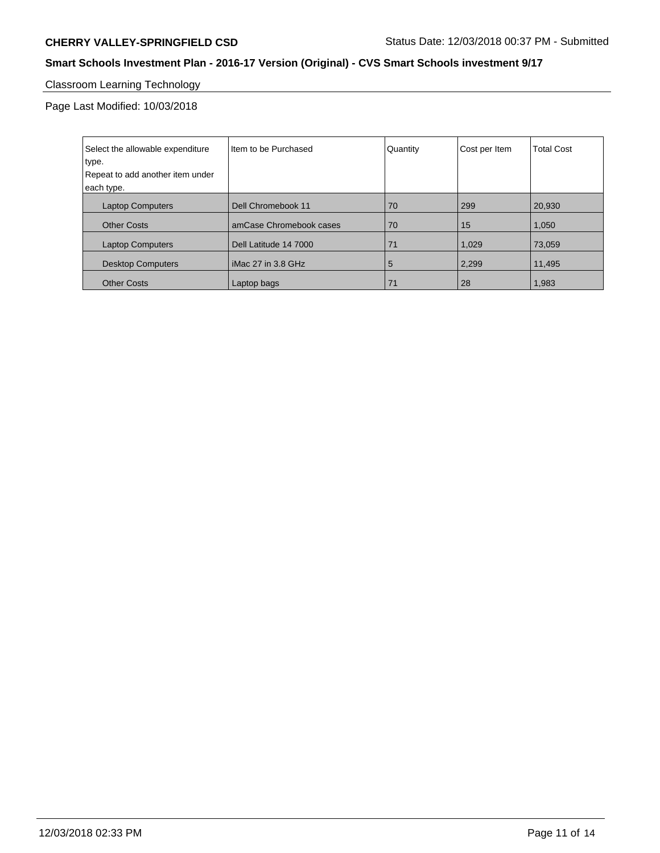# Classroom Learning Technology

Page Last Modified: 10/03/2018

| Select the allowable expenditure | I Item to be Purchased  | Quantity | Cost per Item | <b>Total Cost</b> |
|----------------------------------|-------------------------|----------|---------------|-------------------|
| type.                            |                         |          |               |                   |
| Repeat to add another item under |                         |          |               |                   |
| each type.                       |                         |          |               |                   |
| <b>Laptop Computers</b>          | Dell Chromebook 11      | 70       | 299           | 20.930            |
| <b>Other Costs</b>               | amCase Chromebook cases | 70       | 15            | 1,050             |
| <b>Laptop Computers</b>          | Dell Latitude 14 7000   | 71       | 1,029         | 73,059            |
| <b>Desktop Computers</b>         | l iMac 27 in 3.8 GHz    | 5        | 2,299         | 11,495            |
| <b>Other Costs</b>               | Laptop bags             | 71       | 28            | 1,983             |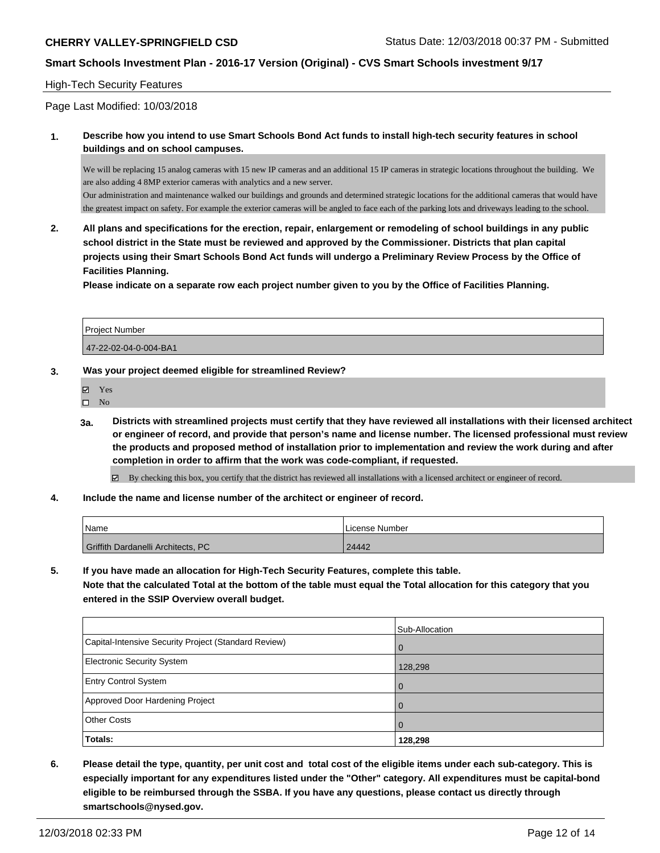#### High-Tech Security Features

Page Last Modified: 10/03/2018

### **1. Describe how you intend to use Smart Schools Bond Act funds to install high-tech security features in school buildings and on school campuses.**

We will be replacing 15 analog cameras with 15 new IP cameras and an additional 15 IP cameras in strategic locations throughout the building. We are also adding 4 8MP exterior cameras with analytics and a new server.

Our administration and maintenance walked our buildings and grounds and determined strategic locations for the additional cameras that would have the greatest impact on safety. For example the exterior cameras will be angled to face each of the parking lots and driveways leading to the school.

**2. All plans and specifications for the erection, repair, enlargement or remodeling of school buildings in any public school district in the State must be reviewed and approved by the Commissioner. Districts that plan capital projects using their Smart Schools Bond Act funds will undergo a Preliminary Review Process by the Office of Facilities Planning.** 

**Please indicate on a separate row each project number given to you by the Office of Facilities Planning.**

| l Proiect Number      |  |
|-----------------------|--|
| 47-22-02-04-0-004-BA1 |  |

#### **3. Was your project deemed eligible for streamlined Review?**

- Yes
- $\square$  No
- **3a. Districts with streamlined projects must certify that they have reviewed all installations with their licensed architect or engineer of record, and provide that person's name and license number. The licensed professional must review the products and proposed method of installation prior to implementation and review the work during and after completion in order to affirm that the work was code-compliant, if requested.**

By checking this box, you certify that the district has reviewed all installations with a licensed architect or engineer of record.

**4. Include the name and license number of the architect or engineer of record.**

| Name |                                    | License Number |
|------|------------------------------------|----------------|
|      | Griffith Dardanelli Architects, PC | 24442          |

**5. If you have made an allocation for High-Tech Security Features, complete this table.**

**Note that the calculated Total at the bottom of the table must equal the Total allocation for this category that you entered in the SSIP Overview overall budget.**

|                                                      | Sub-Allocation |
|------------------------------------------------------|----------------|
| Capital-Intensive Security Project (Standard Review) | $\overline{0}$ |
| <b>Electronic Security System</b>                    | 128,298        |
| <b>Entry Control System</b>                          | $\overline{0}$ |
| Approved Door Hardening Project                      | $\mathbf 0$    |
| <b>Other Costs</b>                                   | $\overline{0}$ |
| <b>Totals:</b>                                       | 128,298        |

**6. Please detail the type, quantity, per unit cost and total cost of the eligible items under each sub-category. This is especially important for any expenditures listed under the "Other" category. All expenditures must be capital-bond eligible to be reimbursed through the SSBA. If you have any questions, please contact us directly through smartschools@nysed.gov.**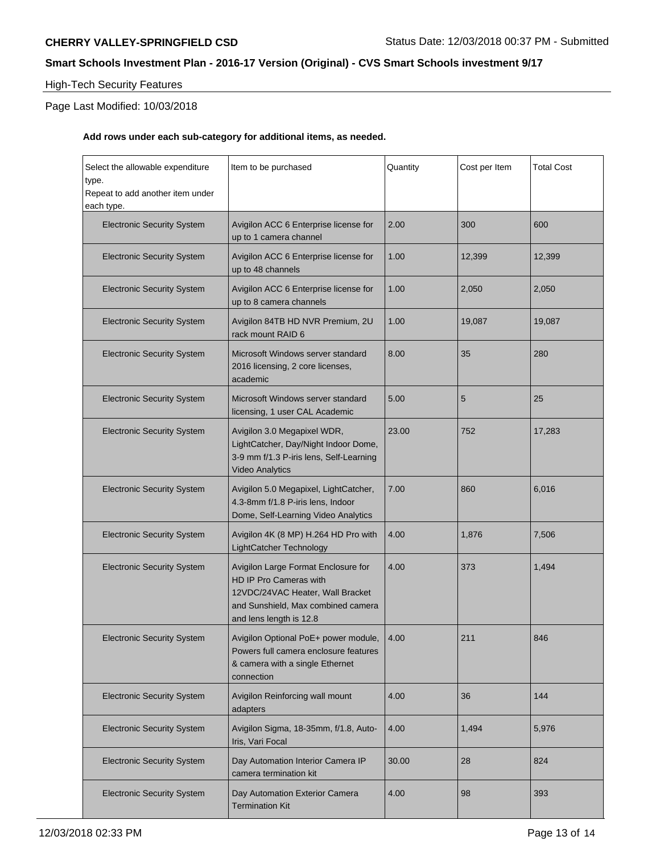# High-Tech Security Features

# Page Last Modified: 10/03/2018

# **Add rows under each sub-category for additional items, as needed.**

| Select the allowable expenditure<br>type.<br>Repeat to add another item under | Item to be purchased                                                                                                                                               | Quantity | Cost per Item | <b>Total Cost</b> |
|-------------------------------------------------------------------------------|--------------------------------------------------------------------------------------------------------------------------------------------------------------------|----------|---------------|-------------------|
| each type.<br><b>Electronic Security System</b>                               | Avigilon ACC 6 Enterprise license for<br>up to 1 camera channel                                                                                                    | 2.00     | 300           | 600               |
| <b>Electronic Security System</b>                                             | Avigilon ACC 6 Enterprise license for<br>up to 48 channels                                                                                                         | 1.00     | 12,399        | 12,399            |
| <b>Electronic Security System</b>                                             | Avigilon ACC 6 Enterprise license for<br>up to 8 camera channels                                                                                                   | 1.00     | 2,050         | 2,050             |
| <b>Electronic Security System</b>                                             | Avigilon 84TB HD NVR Premium, 2U<br>rack mount RAID 6                                                                                                              | 1.00     | 19,087        | 19,087            |
| <b>Electronic Security System</b>                                             | Microsoft Windows server standard<br>2016 licensing, 2 core licenses,<br>academic                                                                                  | 8.00     | 35            | 280               |
| <b>Electronic Security System</b>                                             | Microsoft Windows server standard<br>licensing, 1 user CAL Academic                                                                                                | 5.00     | 5             | 25                |
| <b>Electronic Security System</b>                                             | Avigilon 3.0 Megapixel WDR,<br>LightCatcher, Day/Night Indoor Dome,<br>3-9 mm f/1.3 P-iris lens, Self-Learning<br><b>Video Analytics</b>                           | 23.00    | 752           | 17,283            |
| <b>Electronic Security System</b>                                             | Avigilon 5.0 Megapixel, LightCatcher,<br>4.3-8mm f/1.8 P-iris lens, Indoor<br>Dome, Self-Learning Video Analytics                                                  | 7.00     | 860           | 6,016             |
| <b>Electronic Security System</b>                                             | Avigilon 4K (8 MP) H.264 HD Pro with<br>LightCatcher Technology                                                                                                    | 4.00     | 1,876         | 7,506             |
| <b>Electronic Security System</b>                                             | Avigilon Large Format Enclosure for<br>HD IP Pro Cameras with<br>12VDC/24VAC Heater, Wall Bracket<br>and Sunshield, Max combined camera<br>and lens length is 12.8 | 4.00     | 373           | 1,494             |
| <b>Electronic Security System</b>                                             | Avigilon Optional PoE+ power module,   4.00<br>Powers full camera enclosure features<br>& camera with a single Ethernet<br>connection                              |          | 211           | 846               |
| <b>Electronic Security System</b>                                             | Avigilon Reinforcing wall mount<br>adapters                                                                                                                        | 4.00     | 36            | 144               |
| <b>Electronic Security System</b>                                             | Avigilon Sigma, 18-35mm, f/1.8, Auto-<br>Iris, Vari Focal                                                                                                          | 4.00     | 1,494         | 5,976             |
| <b>Electronic Security System</b>                                             | Day Automation Interior Camera IP<br>camera termination kit                                                                                                        | 30.00    | 28            | 824               |
| <b>Electronic Security System</b>                                             | Day Automation Exterior Camera<br><b>Termination Kit</b>                                                                                                           | 4.00     | 98            | 393               |